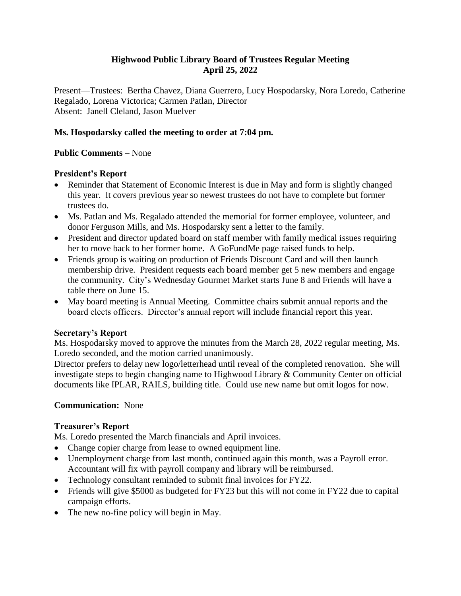### **Highwood Public Library Board of Trustees Regular Meeting April 25, 2022**

Present—Trustees: Bertha Chavez, Diana Guerrero, Lucy Hospodarsky, Nora Loredo, Catherine Regalado, Lorena Victorica; Carmen Patlan, Director Absent: Janell Cleland, Jason Muelver

## **Ms. Hospodarsky called the meeting to order at 7:04 pm.**

## **Public Comments** – None

## **President's Report**

- Reminder that Statement of Economic Interest is due in May and form is slightly changed this year. It covers previous year so newest trustees do not have to complete but former trustees do.
- Ms. Patlan and Ms. Regalado attended the memorial for former employee, volunteer, and donor Ferguson Mills, and Ms. Hospodarsky sent a letter to the family.
- President and director updated board on staff member with family medical issues requiring her to move back to her former home. A GoFundMe page raised funds to help.
- Friends group is waiting on production of Friends Discount Card and will then launch membership drive. President requests each board member get 5 new members and engage the community. City's Wednesday Gourmet Market starts June 8 and Friends will have a table there on June 15.
- May board meeting is Annual Meeting. Committee chairs submit annual reports and the board elects officers. Director's annual report will include financial report this year.

### **Secretary's Report**

Ms. Hospodarsky moved to approve the minutes from the March 28, 2022 regular meeting, Ms. Loredo seconded, and the motion carried unanimously.

Director prefers to delay new logo/letterhead until reveal of the completed renovation. She will investigate steps to begin changing name to Highwood Library & Community Center on official documents like IPLAR, RAILS, building title. Could use new name but omit logos for now.

# **Communication:** None

### **Treasurer's Report**

Ms. Loredo presented the March financials and April invoices.

- Change copier charge from lease to owned equipment line.
- Unemployment charge from last month, continued again this month, was a Payroll error. Accountant will fix with payroll company and library will be reimbursed.
- Technology consultant reminded to submit final invoices for FY22.
- Friends will give \$5000 as budgeted for FY23 but this will not come in FY22 due to capital campaign efforts.
- The new no-fine policy will begin in May.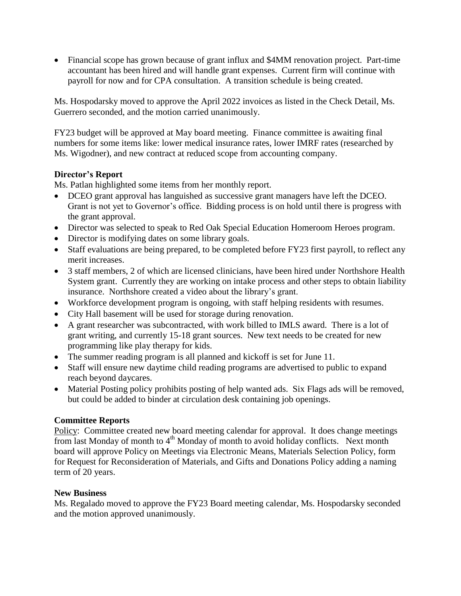Financial scope has grown because of grant influx and \$4MM renovation project. Part-time accountant has been hired and will handle grant expenses. Current firm will continue with payroll for now and for CPA consultation. A transition schedule is being created.

Ms. Hospodarsky moved to approve the April 2022 invoices as listed in the Check Detail, Ms. Guerrero seconded, and the motion carried unanimously.

FY23 budget will be approved at May board meeting. Finance committee is awaiting final numbers for some items like: lower medical insurance rates, lower IMRF rates (researched by Ms. Wigodner), and new contract at reduced scope from accounting company.

## **Director's Report**

Ms. Patlan highlighted some items from her monthly report.

- DCEO grant approval has languished as successive grant managers have left the DCEO. Grant is not yet to Governor's office. Bidding process is on hold until there is progress with the grant approval.
- Director was selected to speak to Red Oak Special Education Homeroom Heroes program.
- Director is modifying dates on some library goals.
- Staff evaluations are being prepared, to be completed before FY23 first payroll, to reflect any merit increases.
- 3 staff members, 2 of which are licensed clinicians, have been hired under Northshore Health System grant. Currently they are working on intake process and other steps to obtain liability insurance. Northshore created a video about the library's grant.
- Workforce development program is ongoing, with staff helping residents with resumes.
- City Hall basement will be used for storage during renovation.
- A grant researcher was subcontracted, with work billed to IMLS award. There is a lot of grant writing, and currently 15-18 grant sources. New text needs to be created for new programming like play therapy for kids.
- The summer reading program is all planned and kickoff is set for June 11.
- Staff will ensure new daytime child reading programs are advertised to public to expand reach beyond daycares.
- Material Posting policy prohibits posting of help wanted ads. Six Flags ads will be removed, but could be added to binder at circulation desk containing job openings.

# **Committee Reports**

Policy: Committee created new board meeting calendar for approval. It does change meetings from last Monday of month to 4<sup>th</sup> Monday of month to avoid holiday conflicts. Next month board will approve Policy on Meetings via Electronic Means, Materials Selection Policy, form for Request for Reconsideration of Materials, and Gifts and Donations Policy adding a naming term of 20 years.

### **New Business**

Ms. Regalado moved to approve the FY23 Board meeting calendar, Ms. Hospodarsky seconded and the motion approved unanimously.